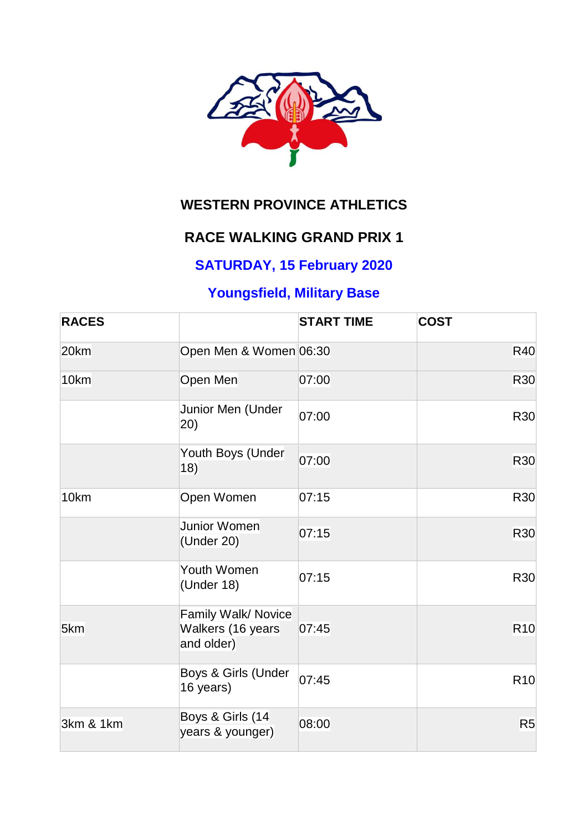

# **WESTERN PROVINCE ATHLETICS**

### **RACE WALKING GRAND PRIX 1**

### **SATURDAY, 15 February 2020**

# **Youngsfield, Military Base**

| <b>RACES</b> |                                                        | <b>START TIME</b> | <b>COST</b>    |
|--------------|--------------------------------------------------------|-------------------|----------------|
| 20km         | Open Men & Women 06:30                                 |                   | <b>R40</b>     |
| 10km         | Open Men                                               | 07:00             | R30            |
|              | Junior Men (Under<br>(20)                              | 07:00             | R30            |
|              | Youth Boys (Under<br>18)                               | 07:00             | R30            |
| 10km         | Open Women                                             | 07:15             | R30            |
|              | Junior Women<br>(Under 20)                             | 07:15             | R30            |
|              | Youth Women<br>(Under 18)                              | 07:15             | R30            |
| 5km          | Family Walk/ Novice<br>Walkers (16 years<br>and older) | 07:45             | <b>R10</b>     |
|              | Boys & Girls (Under<br>16 years)                       | 07:45             | <b>R10</b>     |
| 3km & 1km    | Boys & Girls (14<br>years & younger)                   | 08:00             | R <sub>5</sub> |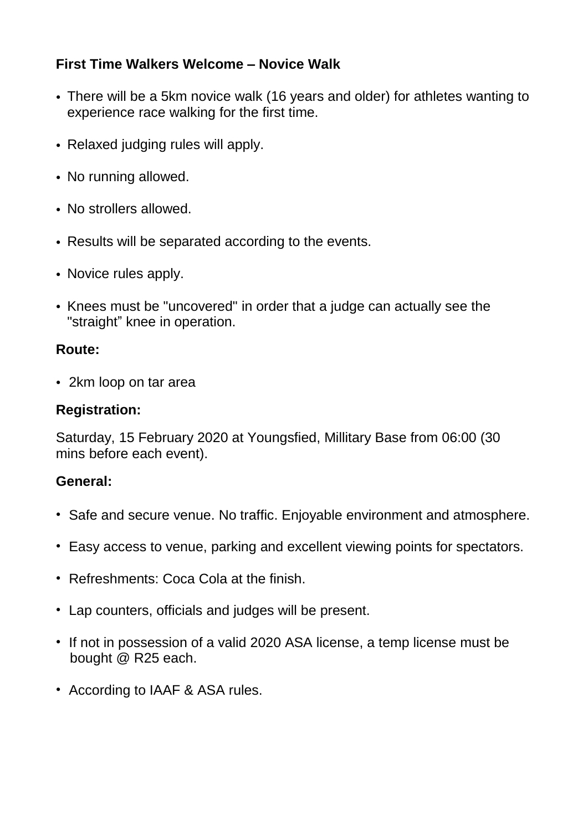#### **First Time Walkers Welcome – Novice Walk**

- There will be a 5km novice walk (16 years and older) for athletes wanting to experience race walking for the first time.
- Relaxed judging rules will apply.
- No running allowed.
- No strollers allowed.
- Results will be separated according to the events.
- Novice rules apply.
- Knees must be "uncovered" in order that a judge can actually see the "straight" knee in operation.

#### **Route:**

• 2km loop on tar area

#### **Registration:**

Saturday, 15 February 2020 at Youngsfied, Millitary Base from 06:00 (30 mins before each event).

#### **General:**

- Safe and secure venue. No traffic. Enjoyable environment and atmosphere.
- Easy access to venue, parking and excellent viewing points for spectators.
- Refreshments: Coca Cola at the finish.
- Lap counters, officials and judges will be present.
- If not in possession of a valid 2020 ASA license, a temp license must be bought @ R25 each.
- According to IAAF & ASA rules.